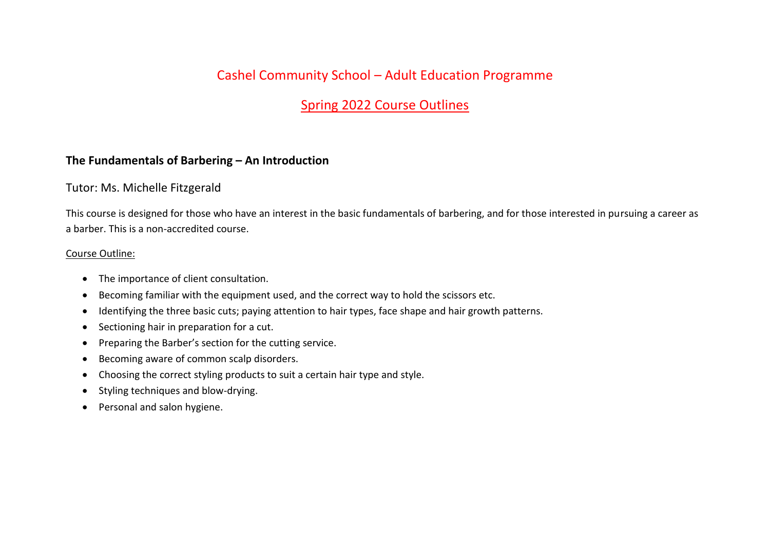# Cashel Community School – Adult Education Programme

# Spring 2022 Course Outlines

#### **The Fundamentals of Barbering – An Introduction**

#### Tutor: Ms. Michelle Fitzgerald

This course is designed for those who have an interest in the basic fundamentals of barbering, and for those interested in pursuing a career as a barber. This is a non-accredited course.

#### Course Outline:

- The importance of client consultation.
- Becoming familiar with the equipment used, and the correct way to hold the scissors etc.
- Identifying the three basic cuts; paying attention to hair types, face shape and hair growth patterns.
- Sectioning hair in preparation for a cut.
- Preparing the Barber's section for the cutting service.
- Becoming aware of common scalp disorders.
- Choosing the correct styling products to suit a certain hair type and style.
- Styling techniques and blow-drying.
- Personal and salon hygiene.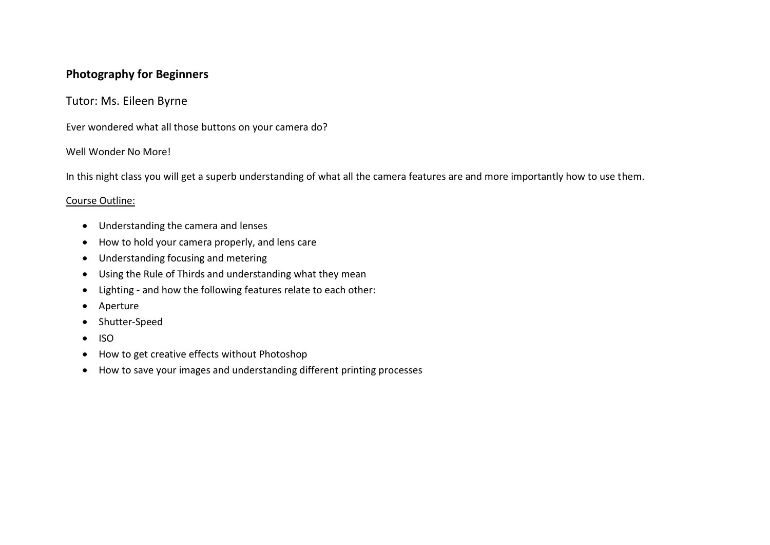## **Photography for Beginners**

### Tutor: Ms. Eileen Byrne

Ever wondered what all those buttons on your camera do?

#### Well Wonder No More!

In this night class you will get a superb understanding of what all the camera features are and more importantly how to use them.

#### Course Outline:

- Understanding the camera and lenses
- How to hold your camera properly, and lens care
- Understanding focusing and metering
- Using the Rule of Thirds and understanding what they mean
- Lighting and how the following features relate to each other:
- Aperture
- Shutter-Speed
- ISO
- How to get creative effects without Photoshop
- How to save your images and understanding different printing processes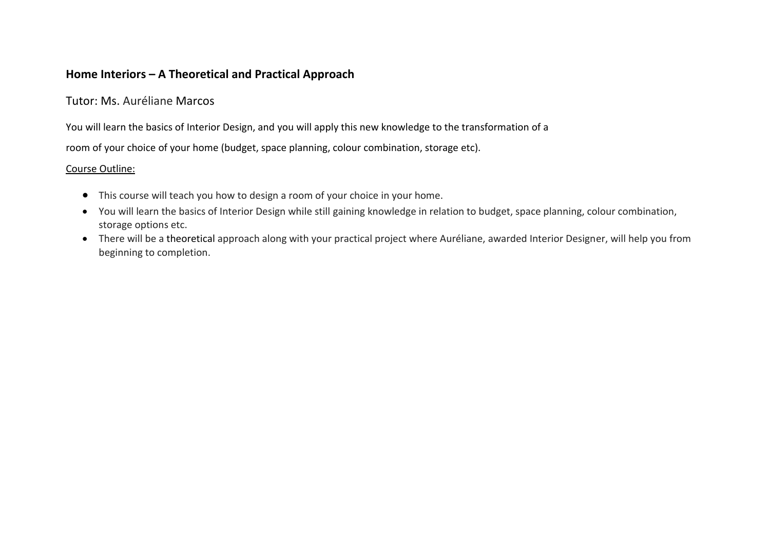### **Home Interiors – A Theoretical and Practical Approach**

## Tutor: Ms. Auréliane Marcos

You will learn the basics of Interior Design, and you will apply this new knowledge to the transformation of a

room of your choice of your home (budget, space planning, colour combination, storage etc).

#### Course Outline:

- This course will teach you how to design a room of your choice in your home.
- You will learn the basics of Interior Design while still gaining knowledge in relation to budget, space planning, colour combination, storage options etc.
- There will be a theoretical approach along with your practical project where Auréliane, awarded Interior Designer, will help you from beginning to completion.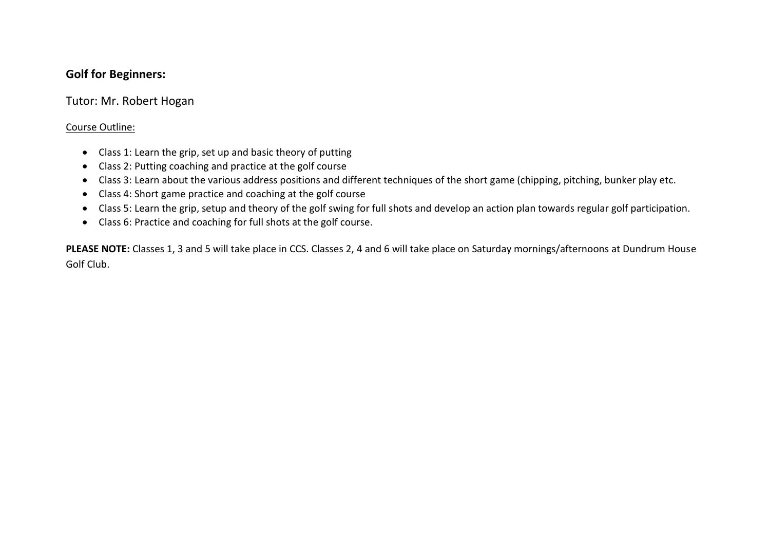## **Golf for Beginners:**

## Tutor: Mr. Robert Hogan

#### Course Outline:

- Class 1: Learn the grip, set up and basic theory of putting
- Class 2: Putting coaching and practice at the golf course
- Class 3: Learn about the various address positions and different techniques of the short game (chipping, pitching, bunker play etc.
- Class 4: Short game practice and coaching at the golf course
- Class 5: Learn the grip, setup and theory of the golf swing for full shots and develop an action plan towards regular golf participation.
- Class 6: Practice and coaching for full shots at the golf course.

**PLEASE NOTE:** Classes 1, 3 and 5 will take place in CCS. Classes 2, 4 and 6 will take place on Saturday mornings/afternoons at Dundrum House Golf Club.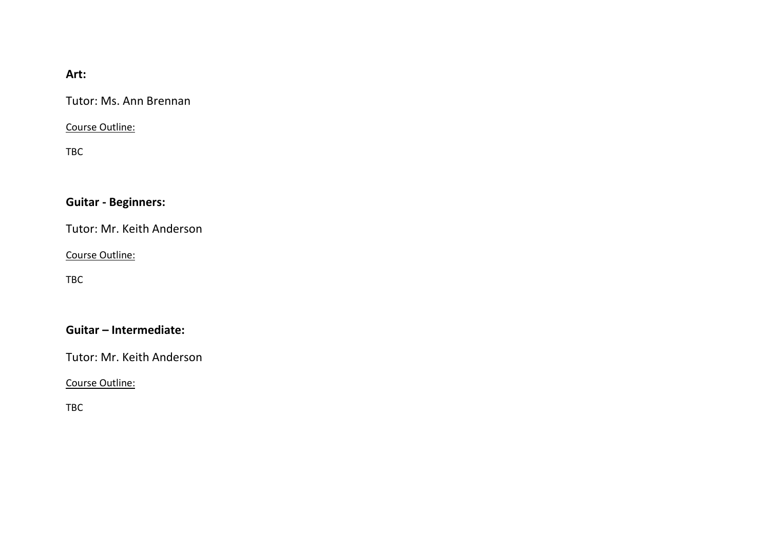## **Art:**

Tutor: Ms. Ann Brennan

Course Outline:

TBC

# **Guitar - Beginners:**

Tutor: Mr. Keith Anderson

Course Outline:

TBC

## **Guitar – Intermediate:**

Tutor: Mr. Keith Anderson

Course Outline:

TBC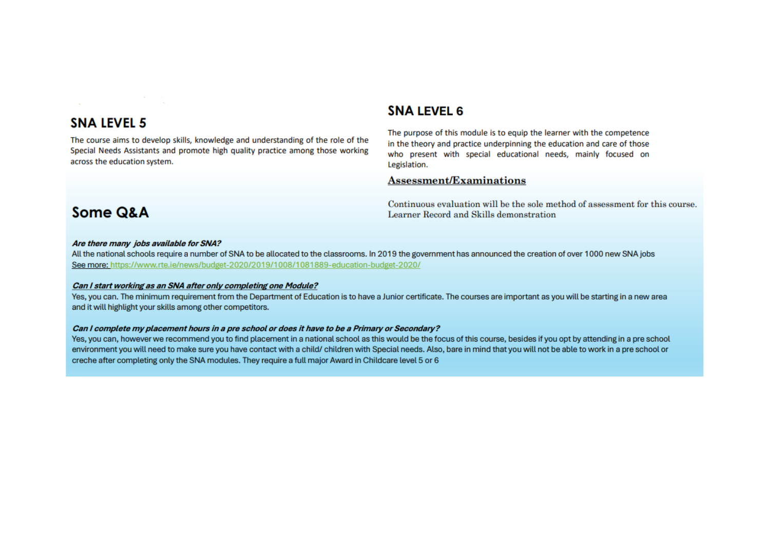## **SNA LEVEL 5**

The course aims to develop skills, knowledge and understanding of the role of the Special Needs Assistants and promote high quality practice among those working across the education system.

### **SNA LEVEL 6**

The purpose of this module is to equip the learner with the competence in the theory and practice underpinning the education and care of those who present with special educational needs, mainly focused on Legislation.

#### **Assessment/Examinations**

Continuous evaluation will be the sole method of assessment for this course. Learner Record and Skills demonstration

# Some Q&A

#### Are there many jobs available for SNA?

All the national schools require a number of SNA to be allocated to the classrooms. In 2019 the government has announced the creation of over 1000 new SNA jobs See more: https://www.rte.ie/news/budget-2020/2019/1008/1081889-education-budget-2020/

#### Can I start working as an SNA after only completing one Module?

Yes, you can. The minimum requirement from the Department of Education is to have a Junior certificate. The courses are important as you will be starting in a new area and it will highlight your skills among other competitors.

#### Can I complete my placement hours in a pre school or does it have to be a Primary or Secondary?

Yes, you can, however we recommend you to find placement in a national school as this would be the focus of this course, besides if you opt by attending in a pre school environment you will need to make sure you have contact with a child/ children with Special needs. Also, bare in mind that you will not be able to work in a pre school or creche after completing only the SNA modules. They require a full major Award in Childcare level 5 or 6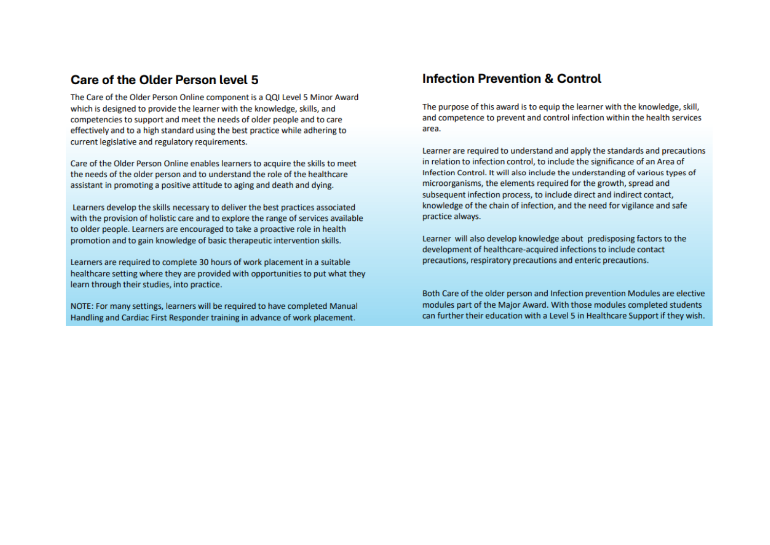## Care of the Older Person level 5

The Care of the Older Person Online component is a OOI Level 5 Minor Award which is designed to provide the learner with the knowledge, skills, and competencies to support and meet the needs of older people and to care effectively and to a high standard using the best practice while adhering to current legislative and regulatory requirements.

Care of the Older Person Online enables learners to acquire the skills to meet the needs of the older person and to understand the role of the healthcare assistant in promoting a positive attitude to aging and death and dying.

Learners develop the skills necessary to deliver the best practices associated with the provision of holistic care and to explore the range of services available to older people. Learners are encouraged to take a proactive role in health promotion and to gain knowledge of basic therapeutic intervention skills.

Learners are required to complete 30 hours of work placement in a suitable healthcare setting where they are provided with opportunities to put what they learn through their studies, into practice.

NOTE: For many settings, learners will be required to have completed Manual Handling and Cardiac First Responder training in advance of work placement.

## **Infection Prevention & Control**

The purpose of this award is to equip the learner with the knowledge, skill. and competence to prevent and control infection within the health services area.

Learner are required to understand and apply the standards and precautions in relation to infection control, to include the significance of an Area of Infection Control. It will also include the understanding of various types of microorganisms, the elements required for the growth, spread and subsequent infection process, to include direct and indirect contact, knowledge of the chain of infection, and the need for vigilance and safe practice always.

Learner will also develop knowledge about predisposing factors to the development of healthcare-acquired infections to include contact precautions, respiratory precautions and enteric precautions.

Both Care of the older person and Infection prevention Modules are elective modules part of the Major Award. With those modules completed students can further their education with a Level 5 in Healthcare Support if they wish.